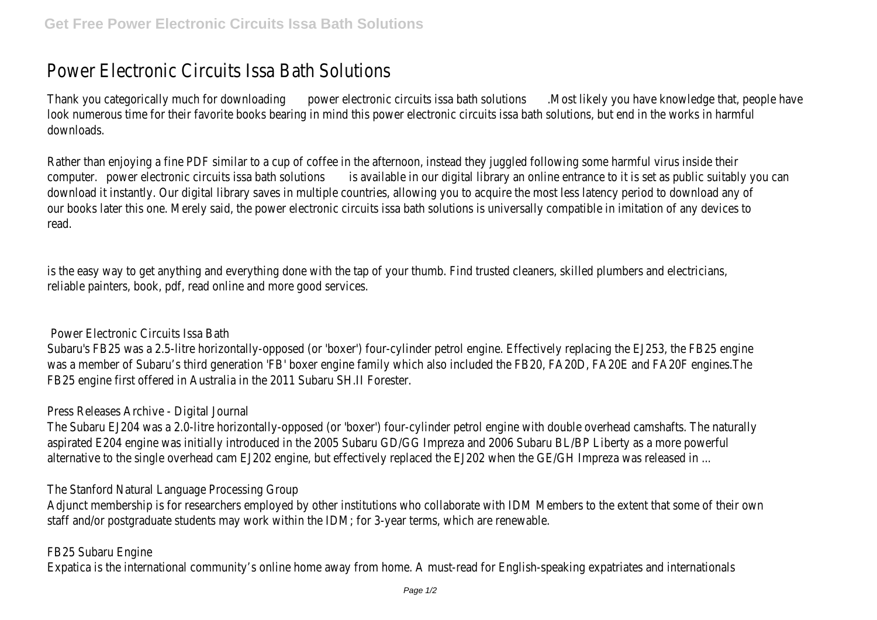# Power Electronic Circuits Issa Bath Solutions

Thank you categorically much for downloading wer electronic circuits issa bath solutions likely you have knowledge that, people have look numerous time for their favorite books bearing in mind this power electronic circuits issa bath solutions, but end in the works in harmful downloads.

Rather than enjoying a fine PDF similar to a cup of coffee in the afternoon, instead they juggled following some harmful virus inside their computer. power electronic circuits issa bath solutions vailable in our digital library an online entrance to it is set as public suitably you ca download it instantly. Our digital library saves in multiple countries, allowing you to acquire the most less latency period to download an our books later this one. Merely said, the power electronic circuits issa bath solutions is universally compatible in imitation of any device read.

is the easy way to get anything and everything done with the tap of your thumb. Find trusted cleaners, skilled plumbers and electricians reliable painters, book, pdf, read online and more good services.

#### Power Electronic Circuits Issa Bath

Subaru's FB25 was a 2.5-litre horizontally-opposed (or 'boxer') four-cylinder petrol engine. Effectively replacing the EJ253, the FB25 engine was a member of Subaru's third generation 'FB' boxer engine family which also included the FB20, FA20D, FA20E and FA20F engines.The FB25 engine first offered in Australia in the 2011 Subaru SH.II Forester.

#### Press Releases Archive - Digital Journal

The Subaru EJ204 was a 2.0-litre horizontally-opposed (or 'boxer') four-cylinder petrol engine with double overhead camshafts. The natu aspirated E204 engine was initially introduced in the 2005 Subaru GD/GG Impreza and 2006 Subaru BL/BP Liberty as a more powerful alternative to the single overhead cam EJ202 engine, but effectively replaced the EJ202 when the GE/GH Impreza was released in ...

### The Stanford Natural Language Processing Group

Adjunct membership is for researchers employed by other institutions who collaborate with IDM Members to the extent that some of tl staff and/or postgraduate students may work within the IDM; for 3-year terms, which are renewable.

#### FB25 Subaru Engine

Expatica is the international community's online home away from home. A must-read for English-speaking expatriates and internationals